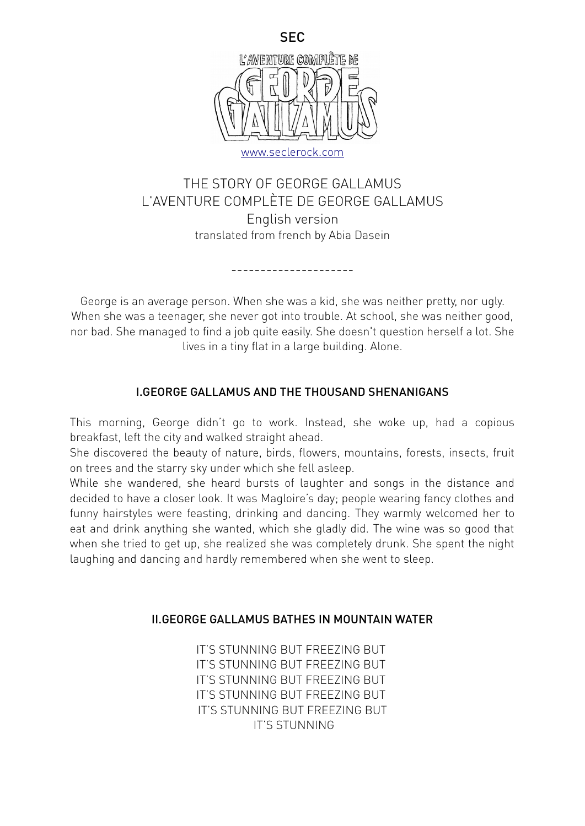

# THE STORY OF GEORGE GALLAMUS L'AVENTURE COMPLÈTE DE GEORGE GALLAMUS English version translated from french by Abia Dasein

---------------------

George is an average person. When she was a kid, she was neither pretty, nor ugly. When she was a teenager, she never got into trouble. At school, she was neither good, nor bad. She managed to find a job quite easily. She doesn't question herself a lot. She lives in a tiny flat in a large building. Alone.

## I.GEORGE GALLAMUS AND THE THOUSAND SHENANIGANS

This morning, George didn't go to work. Instead, she woke up, had a copious breakfast, left the city and walked straight ahead.

She discovered the beauty of nature, birds, flowers, mountains, forests, insects, fruit on trees and the starry sky under which she fell asleep.

While she wandered, she heard bursts of laughter and songs in the distance and decided to have a closer look. It was Magloire's day; people wearing fancy clothes and funny hairstyles were feasting, drinking and dancing. They warmly welcomed her to eat and drink anything she wanted, which she gladly did. The wine was so good that when she tried to get up, she realized she was completely drunk. She spent the night laughing and dancing and hardly remembered when she went to sleep.

#### II.GEORGE GALLAMUS BATHES IN MOUNTAIN WATER

IT'S STUNNING BUT FREEZING BUT IT'S STUNNING BUT FREEZING BUT IT'S STUNNING BUT FREEZING BUT IT'S STUNNING BUT FREEZING BUT IT'S STUNNING BUT FREEZING BUT IT'S STUNNING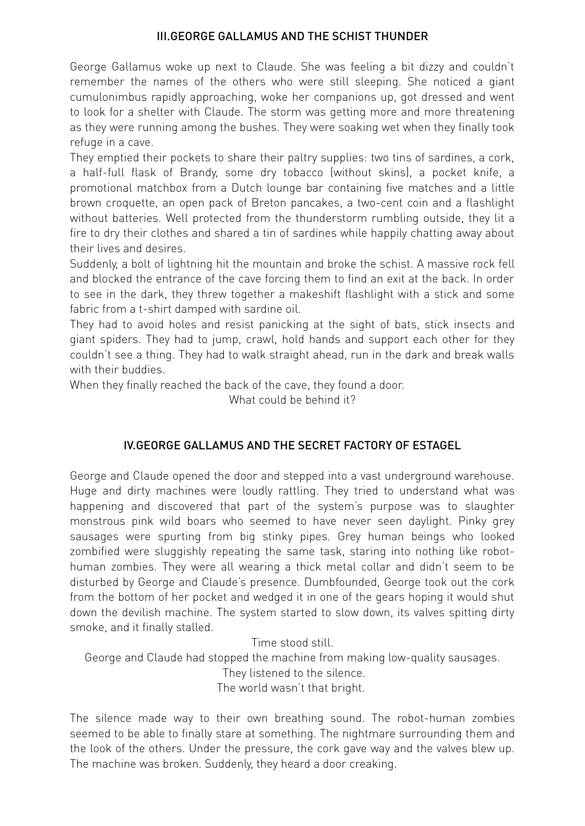#### III.GEORGE GALLAMUS AND THE SCHIST THUNDER

George Gallamus woke up next to Claude. She was feeling a bit dizzy and couldn't remember the names of the others who were still sleeping. She noticed a giant cumulonimbus rapidly approaching, woke her companions up, got dressed and went to look for a shelter with Claude. The storm was getting more and more threatening as they were running among the bushes. They were soaking wet when they finally took refuge in a cave.

They emptied their pockets to share their paltry supplies: two tins of sardines, a cork, a half-full flask of Brandy, some dry tobacco (without skins), a pocket knife, a promotional matchbox from a Dutch lounge bar containing five matches and a little brown croquette, an open pack of Breton pancakes, a two-cent coin and a flashlight without batteries. Well protected from the thunderstorm rumbling outside, they lit a fire to dry their clothes and shared a tin of sardines while happily chatting away about their lives and desires.

Suddenly, a bolt of lightning hit the mountain and broke the schist. A massive rock fell and blocked the entrance of the cave forcing them to find an exit at the back. In order to see in the dark, they threw together a makeshift flashlight with a stick and some fabric from a t-shirt damped with sardine oil.

They had to avoid holes and resist panicking at the sight of bats, stick insects and giant spiders. They had to jump, crawl, hold hands and support each other for they couldn't see a thing. They had to walk straight ahead, run in the dark and break walls with their buddies.

When they finally reached the back of the cave, they found a door.

What could be behind it?

## IV.GEORGE GALLAMUS AND THE SECRET FACTORY OF ESTAGEL

George and Claude opened the door and stepped into a vast underground warehouse. Huge and dirty machines were loudly rattling. They tried to understand what was happening and discovered that part of the system's purpose was to slaughter monstrous pink wild boars who seemed to have never seen daylight. Pinky grey sausages were spurting from big stinky pipes. Grey human beings who looked zombified were sluggishly repeating the same task, staring into nothing like robothuman zombies. They were all wearing a thick metal collar and didn't seem to be disturbed by George and Claude's presence. Dumbfounded, George took out the cork from the bottom of her pocket and wedged it in one of the gears hoping it would shut down the devilish machine. The system started to slow down, its valves spitting dirty smoke, and it finally stalled.

Time stood still. George and Claude had stopped the machine from making low-quality sausages. They listened to the silence. The world wasn't that bright.

The silence made way to their own breathing sound. The robot-human zombies seemed to be able to finally stare at something. The nightmare surrounding them and the look of the others. Under the pressure, the cork gave way and the valves blew up. The machine was broken. Suddenly, they heard a door creaking.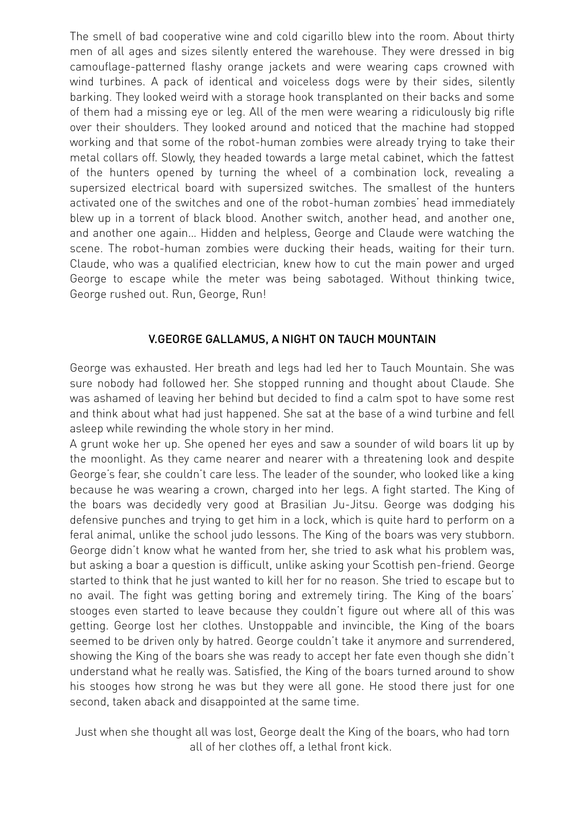The smell of bad cooperative wine and cold cigarillo blew into the room. About thirty men of all ages and sizes silently entered the warehouse. They were dressed in big camouflage-patterned flashy orange jackets and were wearing caps crowned with wind turbines. A pack of identical and voiceless dogs were by their sides, silently barking. They looked weird with a storage hook transplanted on their backs and some of them had a missing eye or leg. All of the men were wearing a ridiculously big rifle over their shoulders. They looked around and noticed that the machine had stopped working and that some of the robot-human zombies were already trying to take their metal collars off. Slowly, they headed towards a large metal cabinet, which the fattest of the hunters opened by turning the wheel of a combination lock, revealing a supersized electrical board with supersized switches. The smallest of the hunters activated one of the switches and one of the robot-human zombies' head immediately blew up in a torrent of black blood. Another switch, another head, and another one, and another one again… Hidden and helpless, George and Claude were watching the scene. The robot-human zombies were ducking their heads, waiting for their turn. Claude, who was a qualified electrician, knew how to cut the main power and urged George to escape while the meter was being sabotaged. Without thinking twice, George rushed out. Run, George, Run!

## V.GEORGE GALLAMUS, A NIGHT ON TAUCH MOUNTAIN

George was exhausted. Her breath and legs had led her to Tauch Mountain. She was sure nobody had followed her. She stopped running and thought about Claude. She was ashamed of leaving her behind but decided to find a calm spot to have some rest and think about what had just happened. She sat at the base of a wind turbine and fell asleep while rewinding the whole story in her mind.

A grunt woke her up. She opened her eyes and saw a sounder of wild boars lit up by the moonlight. As they came nearer and nearer with a threatening look and despite George's fear, she couldn't care less. The leader of the sounder, who looked like a king because he was wearing a crown, charged into her legs. A fight started. The King of the boars was decidedly very good at Brasilian Ju-Jitsu. George was dodging his defensive punches and trying to get him in a lock, which is quite hard to perform on a feral animal, unlike the school judo lessons. The King of the boars was very stubborn. George didn't know what he wanted from her, she tried to ask what his problem was, but asking a boar a question is difficult, unlike asking your Scottish pen-friend. George started to think that he just wanted to kill her for no reason. She tried to escape but to no avail. The fight was getting boring and extremely tiring. The King of the boars' stooges even started to leave because they couldn't figure out where all of this was getting. George lost her clothes. Unstoppable and invincible, the King of the boars seemed to be driven only by hatred. George couldn't take it anymore and surrendered, showing the King of the boars she was ready to accept her fate even though she didn't understand what he really was. Satisfied, the King of the boars turned around to show his stooges how strong he was but they were all gone. He stood there just for one second, taken aback and disappointed at the same time.

Just when she thought all was lost, George dealt the King of the boars, who had torn all of her clothes off, a lethal front kick.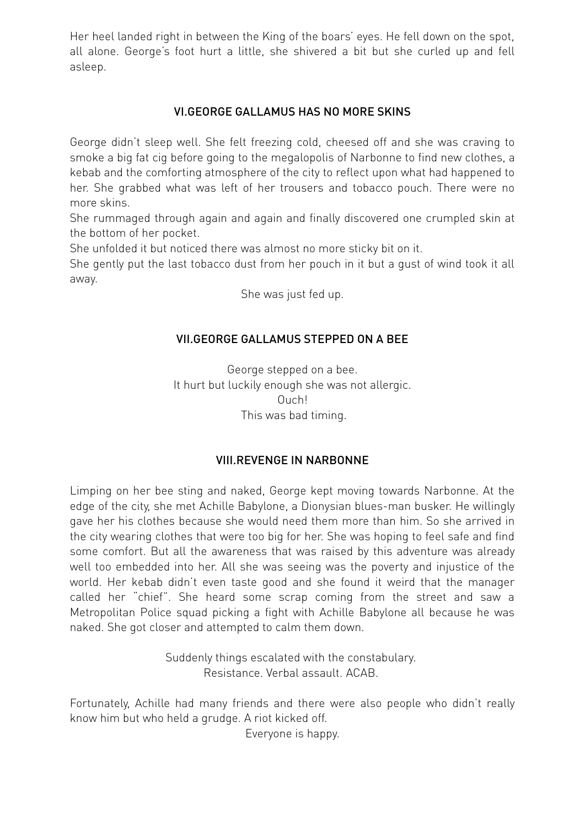Her heel landed right in between the King of the boars' eyes. He fell down on the spot, all alone. George's foot hurt a little, she shivered a bit but she curled up and fell asleep.

## VI.GEORGE GALLAMUS HAS NO MORE SKINS

George didn't sleep well. She felt freezing cold, cheesed off and she was craving to smoke a big fat cig before going to the megalopolis of Narbonne to find new clothes, a kebab and the comforting atmosphere of the city to reflect upon what had happened to her. She grabbed what was left of her trousers and tobacco pouch. There were no more skins.

She rummaged through again and again and finally discovered one crumpled skin at the bottom of her pocket.

She unfolded it but noticed there was almost no more sticky bit on it.

She gently put the last tobacco dust from her pouch in it but a gust of wind took it all away.

She was just fed up.

## VII.GEORGE GALLAMUS STEPPED ON A BEE

George stepped on a bee. It hurt but luckily enough she was not allergic. Ouch! This was bad timing.

#### VIII.REVENGE IN NARBONNE

Limping on her bee sting and naked, George kept moving towards Narbonne. At the edge of the city, she met Achille Babylone, a Dionysian blues-man busker. He willingly gave her his clothes because she would need them more than him. So she arrived in the city wearing clothes that were too big for her. She was hoping to feel safe and find some comfort. But all the awareness that was raised by this adventure was already well too embedded into her. All she was seeing was the poverty and injustice of the world. Her kebab didn't even taste good and she found it weird that the manager called her "chief". She heard some scrap coming from the street and saw a Metropolitan Police squad picking a fight with Achille Babylone all because he was naked. She got closer and attempted to calm them down.

> Suddenly things escalated with the constabulary. Resistance. Verbal assault. ACAB.

Fortunately, Achille had many friends and there were also people who didn't really know him but who held a grudge. A riot kicked off.

Everyone is happy.